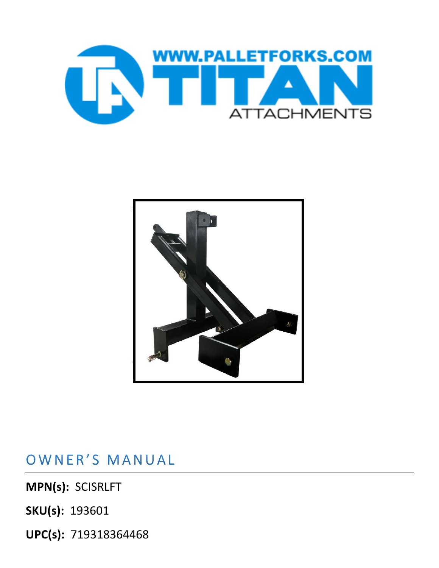



OWNER'S MANUAL

**MPN(s):** SCISRLFT

**SKU(s):** 193601

**UPC(s):** 719318364468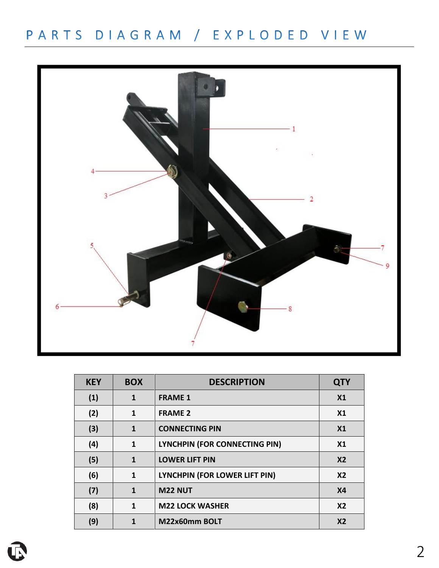## PARTS DIAGRAM / EXPLODED VIEW



| <b>KEY</b> | <b>BOX</b>   | <b>DESCRIPTION</b>            | <b>QTY</b>     |
|------------|--------------|-------------------------------|----------------|
| (1)        | 1            | <b>FRAME 1</b>                | X <sub>1</sub> |
| (2)        | 1            | <b>FRAME 2</b>                | X <sub>1</sub> |
| (3)        | 1            | <b>CONNECTING PIN</b>         | X <sub>1</sub> |
| (4)        | $\mathbf{1}$ | LYNCHPIN (FOR CONNECTING PIN) | X <sub>1</sub> |
| (5)        | 1            | <b>LOWER LIFT PIN</b>         | X <sub>2</sub> |
| (6)        | 1            | LYNCHPIN (FOR LOWER LIFT PIN) | X <sub>2</sub> |
| (7)        | 1            | <b>M22 NUT</b>                | <b>X4</b>      |
| (8)        | 1            | <b>M22 LOCK WASHER</b>        | X <sub>2</sub> |
| (9)        |              | M22x60mm BOLT                 | X <sub>2</sub> |